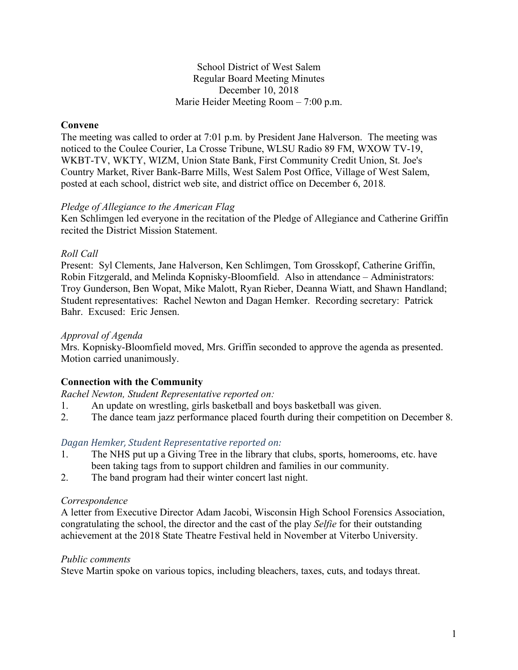#### School District of West Salem Regular Board Meeting Minutes December 10, 2018 Marie Heider Meeting Room – 7:00 p.m.

## **Convene**

The meeting was called to order at 7:01 p.m. by President Jane Halverson. The meeting was noticed to the Coulee Courier, La Crosse Tribune, WLSU Radio 89 FM, WXOW TV-19, WKBT-TV, WKTY, WIZM, Union State Bank, First Community Credit Union, St. Joe's Country Market, River Bank-Barre Mills, West Salem Post Office, Village of West Salem, posted at each school, district web site, and district office on December 6, 2018.

#### *Pledge of Allegiance to the American Flag*

Ken Schlimgen led everyone in the recitation of the Pledge of Allegiance and Catherine Griffin recited the District Mission Statement.

### *Roll Call*

Present: Syl Clements, Jane Halverson, Ken Schlimgen, Tom Grosskopf, Catherine Griffin, Robin Fitzgerald, and Melinda Kopnisky-Bloomfield. Also in attendance – Administrators: Troy Gunderson, Ben Wopat, Mike Malott, Ryan Rieber, Deanna Wiatt, and Shawn Handland; Student representatives: Rachel Newton and Dagan Hemker. Recording secretary: Patrick Bahr. Excused: Eric Jensen.

#### *Approval of Agenda*

Mrs. Kopnisky-Bloomfield moved, Mrs. Griffin seconded to approve the agenda as presented. Motion carried unanimously.

## **Connection with the Community**

*Rachel Newton, Student Representative reported on:*

- 1. An update on wrestling, girls basketball and boys basketball was given.
- 2. The dance team jazz performance placed fourth during their competition on December 8.

## *Dagan Hemker, Student Representative reported on:*

- 1. The NHS put up a Giving Tree in the library that clubs, sports, homerooms, etc. have been taking tags from to support children and families in our community.
- 2. The band program had their winter concert last night.

#### *Correspondence*

A letter from Executive Director Adam Jacobi, Wisconsin High School Forensics Association, congratulating the school, the director and the cast of the play *Selfie* for their outstanding achievement at the 2018 State Theatre Festival held in November at Viterbo University.

#### *Public comments*

Steve Martin spoke on various topics, including bleachers, taxes, cuts, and todays threat.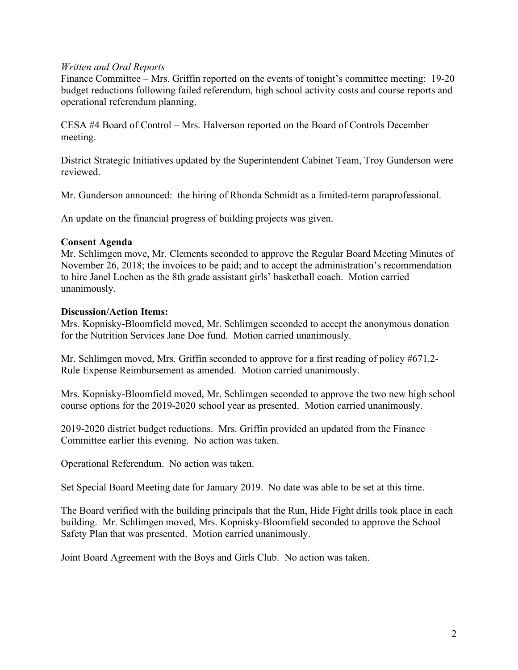#### *Written and Oral Reports*

Finance Committee – Mrs. Griffin reported on the events of tonight's committee meeting: 19-20 budget reductions following failed referendum, high school activity costs and course reports and operational referendum planning.

CESA #4 Board of Control – Mrs. Halverson reported on the Board of Controls December meeting.

District Strategic Initiatives updated by the Superintendent Cabinet Team, Troy Gunderson were reviewed.

Mr. Gunderson announced: the hiring of Rhonda Schmidt as a limited-term paraprofessional.

An update on the financial progress of building projects was given.

#### **Consent Agenda**

Mr. Schlimgen move, Mr. Clements seconded to approve the Regular Board Meeting Minutes of November 26, 2018; the invoices to be paid; and to accept the administration's recommendation to hire Janel Lochen as the 8th grade assistant girls' basketball coach. Motion carried unanimously.

#### **Discussion/Action Items:**

Mrs. Kopnisky-Bloomfield moved, Mr. Schlimgen seconded to accept the anonymous donation for the Nutrition Services Jane Doe fund. Motion carried unanimously.

Mr. Schlimgen moved, Mrs. Griffin seconded to approve for a first reading of policy #671.2- Rule Expense Reimbursement as amended. Motion carried unanimously.

Mrs. Kopnisky-Bloomfield moved, Mr. Schlimgen seconded to approve the two new high school course options for the 2019-2020 school year as presented. Motion carried unanimously.

2019-2020 district budget reductions. Mrs. Griffin provided an updated from the Finance Committee earlier this evening. No action was taken.

Operational Referendum. No action was taken.

Set Special Board Meeting date for January 2019. No date was able to be set at this time.

The Board verified with the building principals that the Run, Hide Fight drills took place in each building. Mr. Schlimgen moved, Mrs. Kopnisky-Bloomfield seconded to approve the School Safety Plan that was presented. Motion carried unanimously.

Joint Board Agreement with the Boys and Girls Club. No action was taken.